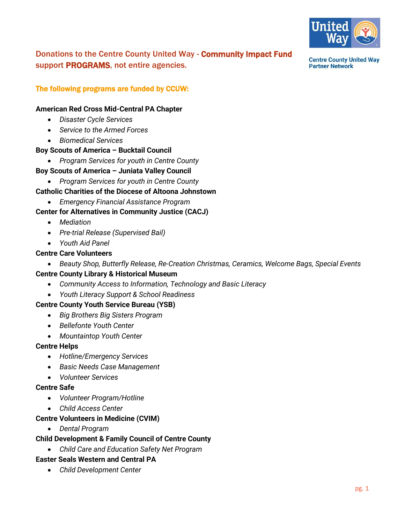

Donations to the Centre County United Way - Community Impact Fund support PROGRAMS, not entire agencies.

**Centre County United Way Partner Network** 

# The following programs are funded by CCUW:

#### **American Red Cross Mid-Central PA Chapter**

- *Disaster Cycle Services*
- *Service to the Armed Forces*
- *Biomedical Services*

### **Boy Scouts of America – Bucktail Council**

• *Program Services for youth in Centre County*

### **Boy Scouts of America – Juniata Valley Council**

• *Program Services for youth in Centre County*

### **Catholic Charities of the Diocese of Altoona Johnstown**

• *Emergency Financial Assistance Program*

### **Center for Alternatives in Community Justice (CACJ)**

- *Mediation*
- *Pre-trial Release (Supervised Bail)*
- *Youth Aid Panel*

#### **Centre Care Volunteers**

• *Beauty Shop, Butterfly Release, Re-Creation Christmas, Ceramics, Welcome Bags, Special Events*

#### **Centre County Library & Historical Museum**

- *Community Access to Information, Technology and Basic Literacy*
- *Youth Literacy Support & School Readiness*

#### **Centre County Youth Service Bureau (YSB)**

- *Big Brothers Big Sisters Program*
- *Bellefonte Youth Center*
- *Mountaintop Youth Center*

#### **Centre Helps**

- *Hotline/Emergency Services*
- *Basic Needs Case Management*
- *Volunteer Services*

#### **Centre Safe**

- *Volunteer Program/Hotline*
- *Child Access Center*

# **Centre Volunteers in Medicine (CVIM)**

• *Dental Program*

#### **Child Development & Family Council of Centre County**

• *Child Care and Education Safety Net Program*

#### **Easter Seals Western and Central PA**

• *Child Development Center*